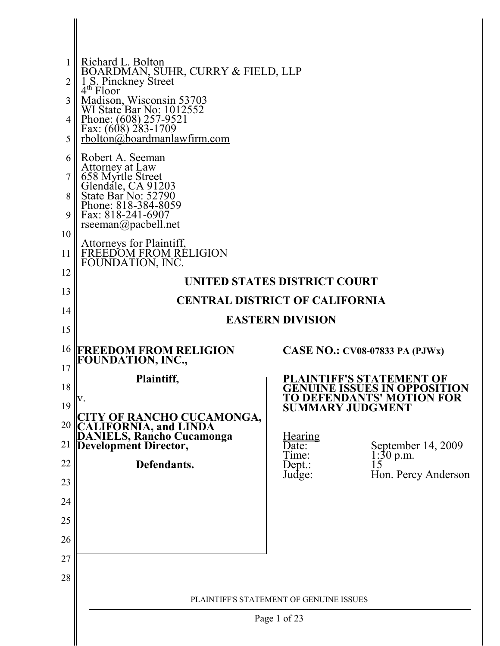|          | Richard L. Bolton                                                                                        |                         |                                                         |
|----------|----------------------------------------------------------------------------------------------------------|-------------------------|---------------------------------------------------------|
| 2        | BOARDMAN, SUHR, CURRY & FIELD, LLP<br>1 S. Pinckney Street<br>4 <sup>th</sup> Floor                      |                         |                                                         |
| 3        | Madison, Wisconsin 53703<br>WI State Bar No: 1012552                                                     |                         |                                                         |
| 4        | Phone: $(608)$ 257-9521                                                                                  |                         |                                                         |
| 5        | Fax: $(608)$ 283-1709<br>rbolton@boardmanlawfirm.com                                                     |                         |                                                         |
| 6        | Robert A. Seeman                                                                                         |                         |                                                         |
| 7        |                                                                                                          |                         |                                                         |
| 8        | Attorney at Law<br>658 Myrtle Street<br>Glendale, CA 91203<br>State Bar No: 52790<br>Phone: 818-384-8059 |                         |                                                         |
| 9        | Fax: 818-241-6907                                                                                        |                         |                                                         |
| 10       | $rseeman(\omega)$ pacbell.net                                                                            |                         |                                                         |
| 11       | Attorneys for Plaintiff,<br>FREEDOM FROM RÉLIGION<br>FOUNDATION, INC.                                    |                         |                                                         |
| 12       | UNITED STATES DISTRICT COURT                                                                             |                         |                                                         |
| 13       | <b>CENTRAL DISTRICT OF CALIFORNIA</b>                                                                    |                         |                                                         |
| 14       |                                                                                                          | <b>EASTERN DIVISION</b> |                                                         |
| 15       |                                                                                                          |                         |                                                         |
| 16       | <b>FREEDOM FROM RELIGION</b><br>FOUNDATION, INC.,                                                        |                         | CASE NO.: $CV08-07833$ PA (PJWx)                        |
| 17<br>18 | Plaintiff,                                                                                               |                         | PLAINTIFF'S STATEMENT OF                                |
| 19       | V.                                                                                                       |                         | GENUINE ISSUES IN OPPOS<br>TON<br>TO DEFENDANTS' MOTION |
| 20       |                                                                                                          |                         | <b>SUMMARY JUDGMENT</b>                                 |
| 21       | CITY OF RANCHO CUCAMONGA,<br>CALIFORNIA, and LINDA<br>DANIELS, Rancho Cucamonga<br>Development Director, | <u>Hearing</u>          |                                                         |
| 22       | Defendants.                                                                                              | Date:<br>Time:          | September 14, 2009<br>$1:30$ p.m.                       |
| 23       |                                                                                                          | $Dep.$ :<br>Judge:      | 15<br>Hon. Percy Anderson                               |
| 24       |                                                                                                          |                         |                                                         |
| 25       |                                                                                                          |                         |                                                         |
| 26       |                                                                                                          |                         |                                                         |
| 27       |                                                                                                          |                         |                                                         |
| 28       |                                                                                                          |                         |                                                         |
|          | PLAINTIFF'S STATEMENT OF GENUINE ISSUES                                                                  |                         |                                                         |
|          |                                                                                                          |                         |                                                         |
|          | Page 1 of 23                                                                                             |                         |                                                         |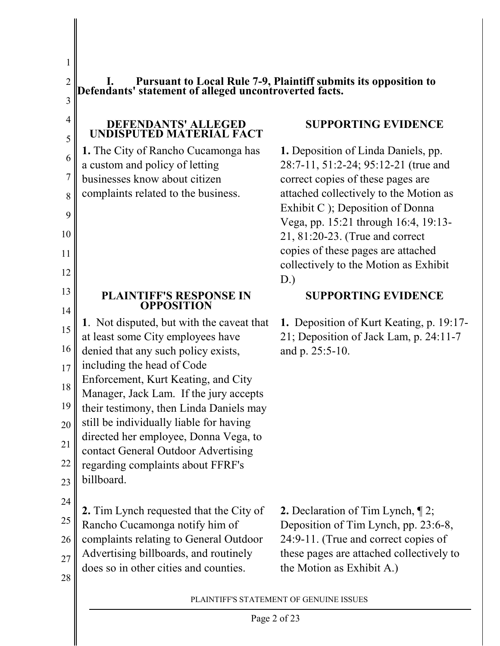5

6

7

8

9

10

11

12

13

14

1

**I. Pursuant to Local Rule 7-9, Plaintiff submits its opposition to Defendants' statement of alleged uncontroverted facts.**

#### **DEFENDANTS' ALLEGED UNDISPUTED MATERIAL FACT**

**1.** The City of Rancho Cucamonga has a custom and policy of letting businesses know about citizen complaints related to the business.

# **SUPPORTING EVIDENCE**

**1.** Deposition of Linda Daniels, pp. 28:7-11, 51:2-24; 95:12-21 (true and correct copies of these pages are attached collectively to the Motion as Exhibit C ); Deposition of Donna Vega, pp. 15:21 through 16:4, 19:13- 21, 81:20-23. (True and correct copies of these pages are attached collectively to the Motion as Exhibit D.)

**SUPPORTING EVIDENCE**

**1.** Deposition of Kurt Keating, p. 19:17- 21; Deposition of Jack Lam, p. 24:11-7

and p. 25:5-10.

### **PLAINTIFF'S RESPONSE IN OPPOSITION**

15 16 **1**. Not disputed, but with the caveat that at least some City employees have denied that any such policy exists,

17 including the head of Code

18 Enforcement, Kurt Keating, and City

Manager, Jack Lam. If the jury accepts

19 their testimony, then Linda Daniels may

20 still be individually liable for having

21 directed her employee, Donna Vega, to

contact General Outdoor Advertising

22 23 regarding complaints about FFRF's billboard.

24

28

25 **2.** Tim Lynch requested that the City of Rancho Cucamonga notify him of

26 complaints relating to General Outdoor

27 Advertising billboards, and routinely does so in other cities and counties.

**2.** Declaration of Tim Lynch, ¶ 2; Deposition of Tim Lynch, pp. 23:6-8, 24:9-11. (True and correct copies of these pages are attached collectively to the Motion as Exhibit A.)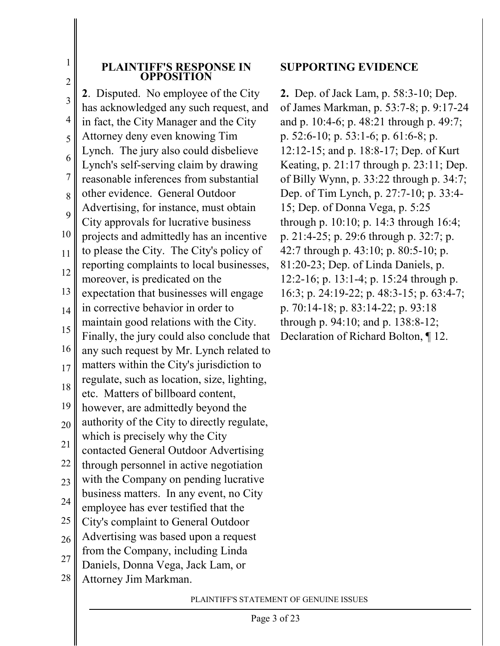1

#### **PLAINTIFF'S RESPONSE IN OPPOSITION**

3 4 5 6 7 8 9 10 11 12 13 14 15 16 17 18 19 20 21 22 23 24 25 26 27 28 **2**. Disputed. No employee of the City has acknowledged any such request, and in fact, the City Manager and the City Attorney deny even knowing Tim Lynch. The jury also could disbelieve Lynch's self-serving claim by drawing reasonable inferences from substantial other evidence. General Outdoor Advertising, for instance, must obtain City approvals for lucrative business projects and admittedly has an incentive to please the City. The City's policy of reporting complaints to local businesses, moreover, is predicated on the expectation that businesses will engage in corrective behavior in order to maintain good relations with the City. Finally, the jury could also conclude that any such request by Mr. Lynch related to matters within the City's jurisdiction to regulate, such as location, size, lighting, etc. Matters of billboard content, however, are admittedly beyond the authority of the City to directly regulate, which is precisely why the City contacted General Outdoor Advertising through personnel in active negotiation with the Company on pending lucrative business matters. In any event, no City employee has ever testified that the City's complaint to General Outdoor Advertising was based upon a request from the Company, including Linda Daniels, Donna Vega, Jack Lam, or Attorney Jim Markman.

### **SUPPORTING EVIDENCE**

**2.** Dep. of Jack Lam, p. 58:3-10; Dep. of James Markman, p. 53:7-8; p. 9:17-24 and p. 10:4-6; p. 48:21 through p. 49:7; p. 52:6-10; p. 53:1-6; p. 61:6-8; p. 12:12-15; and p. 18:8-17; Dep. of Kurt Keating, p. 21:17 through p. 23:11; Dep. of Billy Wynn, p. 33:22 through p. 34:7; Dep. of Tim Lynch, p. 27:7-10; p. 33:4- 15; Dep. of Donna Vega, p. 5:25 through p. 10:10; p. 14:3 through 16:4; p. 21:4-25; p. 29:6 through p. 32:7; p. 42:7 through p. 43:10; p. 80:5-10; p. 81:20-23; Dep. of Linda Daniels, p. 12:2-16; p. 13:1-4; p. 15:24 through p. 16:3; p. 24:19-22; p. 48:3-15; p. 63:4-7; p. 70:14-18; p. 83:14-22; p. 93:18 through p. 94:10; and p. 138:8-12; Declaration of Richard Bolton, ¶ 12.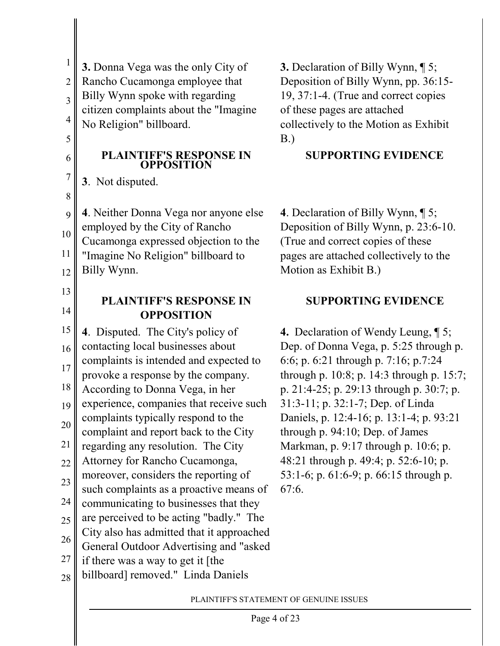| $\mathbf{1}$            |                                                                         |                         |
|-------------------------|-------------------------------------------------------------------------|-------------------------|
|                         | <b>3.</b> Donna Vega was the only City of                               | $\overline{\mathbf{3}}$ |
| $\overline{2}$          | Rancho Cucamonga employee that                                          | $\overline{\mathrm{L}}$ |
| $\overline{\mathbf{3}}$ | Billy Wynn spoke with regarding                                         | $\mathbf{1}$            |
| $\overline{4}$          | citizen complaints about the "Imagine                                   | $\overline{O}$          |
| 5                       | No Religion" billboard.                                                 | $\mathbf{C}$<br>B       |
|                         |                                                                         |                         |
| 6                       | <b>PLAINTIFF'S RESPONSE IN<br/>OPPOSITION</b>                           |                         |
| $\overline{7}$          | 3. Not disputed.                                                        |                         |
| 8                       |                                                                         |                         |
| 9                       | 4. Neither Donna Vega nor anyone else                                   | $\overline{\mathbf{4}}$ |
|                         | employed by the City of Rancho                                          | $\overline{L}$          |
| 10                      | Cucamonga expressed objection to the                                    | $\overline{C}$          |
| 11                      | "Imagine No Religion" billboard to                                      | $\overline{p}$          |
| 12                      | Billy Wynn.                                                             | $\overline{\mathbf{N}}$ |
| 13                      |                                                                         |                         |
| 14                      | <b>PLAINTIFF'S RESPONSE IN</b>                                          |                         |
|                         | <b>OPPOSITION</b>                                                       |                         |
|                         |                                                                         |                         |
| 15                      | 4. Disputed. The City's policy of                                       | 4                       |
| 16                      | contacting local businesses about                                       | $\overline{\mathrm{L}}$ |
| 17                      | complaints is intended and expected to                                  | 6                       |
|                         | provoke a response by the company.                                      | tł                      |
| 18                      | According to Donna Vega, in her                                         | p                       |
| 19                      | experience, companies that receive such                                 | 3                       |
| 20                      | complaints typically respond to the                                     | $\Gamma$                |
| $\overline{21}$         | complaint and report back to the City                                   | tł                      |
|                         | regarding any resolution. The City<br>Attorney for Rancho Cucamonga,    | N<br>4                  |
| 22                      | moreover, considers the reporting of                                    | 5                       |
| 23                      | such complaints as a proactive means of                                 | 6                       |
| 24                      | communicating to businesses that they                                   |                         |
| 25                      | are perceived to be acting "badly." The                                 |                         |
|                         | City also has admitted that it approached                               |                         |
| 26                      | General Outdoor Advertising and "asked"                                 |                         |
| 27<br>28                | if there was a way to get it [the<br>billboard] removed." Linda Daniels |                         |

**3.** Declaration of Billy Wynn, ¶ 5; Deposition of Billy Wynn, pp. 36:15- 19, 37:1-4. (True and correct copies of these pages are attached collectively to the Motion as Exhibit  $B.$ 

## **SUPPORTING EVIDENCE**

**4**. Declaration of Billy Wynn, ¶ 5; Deposition of Billy Wynn, p. 23:6-10. True and correct copies of these pages are attached collectively to the Motion as Exhibit B.)

# **SUPPORTING EVIDENCE**

**4.** Declaration of Wendy Leung, ¶ 5; Dep. of Donna Vega, p. 5:25 through p. 6:6; p. 6:21 through p. 7:16; p.7:24 hrough p. 10:8; p. 14:3 through p. 15:7; p. 21:4-25; p. 29:13 through p. 30:7; p. 31:3-11; p. 32:1-7; Dep. of Linda Daniels, p. 12:4-16; p. 13:1-4; p. 93:21 hrough p.  $94:10$ ; Dep. of James Markman, p. 9:17 through p. 10:6; p. 48:21 through p. 49:4; p. 52:6-10; p.  $53:1-6$ ; p. 61:6-9; p. 66:15 through p.  $7:6.$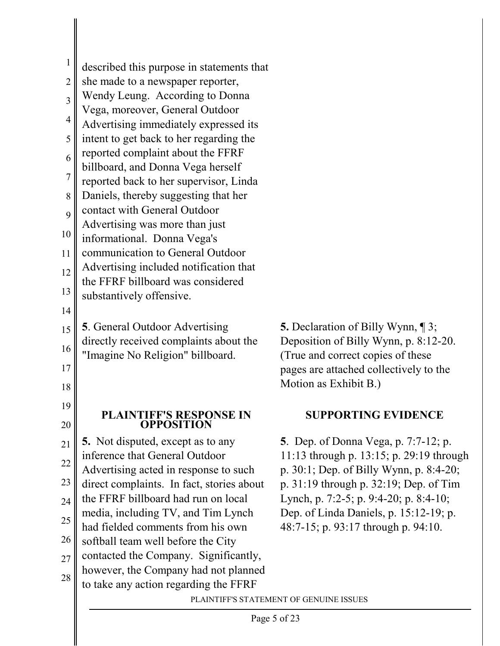| 1              |                                                                                    |                                                                                        |
|----------------|------------------------------------------------------------------------------------|----------------------------------------------------------------------------------------|
|                | described this purpose in statements that                                          |                                                                                        |
| 2              | she made to a newspaper reporter,                                                  |                                                                                        |
| 3              | Wendy Leung. According to Donna<br>Vega, moreover, General Outdoor                 |                                                                                        |
| 4              | Advertising immediately expressed its                                              |                                                                                        |
| 5              | intent to get back to her regarding the                                            |                                                                                        |
| 6              | reported complaint about the FFRF                                                  |                                                                                        |
|                | billboard, and Donna Vega herself                                                  |                                                                                        |
| $\overline{7}$ | reported back to her supervisor, Linda                                             |                                                                                        |
| 8              | Daniels, thereby suggesting that her                                               |                                                                                        |
| 9              | contact with General Outdoor<br>Advertising was more than just                     |                                                                                        |
| 10             | informational. Donna Vega's                                                        |                                                                                        |
| 11             | communication to General Outdoor                                                   |                                                                                        |
| 12             | Advertising included notification that                                             |                                                                                        |
| 13             | the FFRF billboard was considered                                                  |                                                                                        |
| 14             | substantively offensive.                                                           |                                                                                        |
|                | <b>5</b> . General Outdoor Advertising                                             | <b>5.</b> Declaration of Billy Wynn, $\P$ 3;                                           |
| 15             | directly received complaints about the                                             | Deposition of Billy Wynn, p. 8:12-20.                                                  |
| 16             | "Imagine No Religion" billboard.                                                   | (True and correct copies of these                                                      |
| 17             |                                                                                    | pages are attached collectively to the                                                 |
| 18             |                                                                                    | Motion as Exhibit B.)                                                                  |
| 19             | <b>PLAINTIFF'S RESPONSE IN</b>                                                     | <b>SUPPORTING EVIDENCE</b>                                                             |
| 20             | <b>OPPOSITION</b>                                                                  |                                                                                        |
| 21             | <b>5.</b> Not disputed, except as to any                                           | <b>5</b> . Dep. of Donna Vega, p. 7:7-12; p.                                           |
| 22             | inference that General Outdoor                                                     | 11:13 through p. 13:15; p. 29:19 through                                               |
| 23             | Advertising acted in response to such<br>direct complaints. In fact, stories about | p. 30:1; Dep. of Billy Wynn, p. 8:4-20;<br>p. $31:19$ through p. $32:19$ ; Dep. of Tim |
| 24             | the FFRF billboard had run on local                                                | Lynch, p. 7:2-5; p. 9:4-20; p. 8:4-10;                                                 |
|                | media, including TV, and Tim Lynch                                                 | Dep. of Linda Daniels, p. 15:12-19; p.                                                 |
| 25             | had fielded comments from his own                                                  | 48:7-15; p. 93:17 through p. 94:10.                                                    |
| 26             | softball team well before the City                                                 |                                                                                        |
| 27             | contacted the Company. Significantly,                                              |                                                                                        |
| 28             | however, the Company had not planned<br>to take any action regarding the FFRF      |                                                                                        |
|                |                                                                                    | PLAINTIFF'S STATEMENT OF GENUINE ISSUES                                                |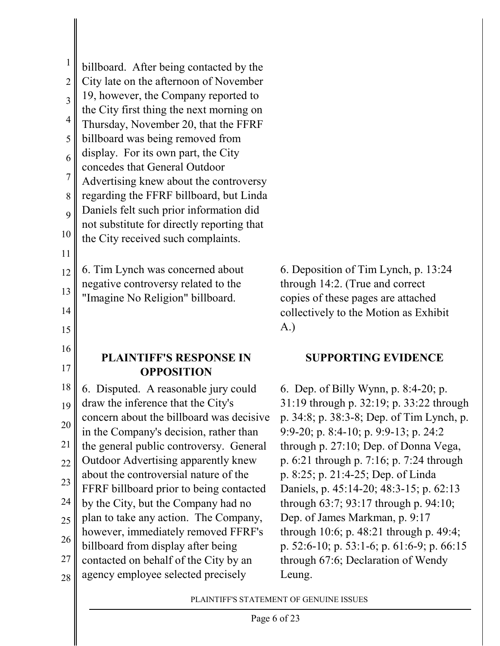| $\mathbf{1}$            |                                                                                   |
|-------------------------|-----------------------------------------------------------------------------------|
|                         | billboard. After being contacted by the                                           |
| $\overline{c}$          | City late on the afternoon of November                                            |
| $\overline{\mathbf{3}}$ | 19, however, the Company reported to                                              |
| $\overline{4}$          | the City first thing the next morning on                                          |
| $\overline{5}$          | Thursday, November 20, that the FFRF                                              |
|                         | billboard was being removed from<br>display. For its own part, the City           |
| $\overline{6}$          | concedes that General Outdoor                                                     |
| $\overline{7}$          | Advertising knew about the controversy                                            |
| 8                       | regarding the FFRF billboard, but Linda                                           |
| 9                       | Daniels felt such prior information did                                           |
| 10                      | not substitute for directly reporting that                                        |
|                         | the City received such complaints.                                                |
| 11                      |                                                                                   |
| 12                      | 6. Tim Lynch was concerned about                                                  |
| 13                      | negative controversy related to the<br>"Imagine No Religion" billboard.           |
| 14                      |                                                                                   |
| 15                      |                                                                                   |
|                         |                                                                                   |
|                         |                                                                                   |
| 16                      | <b>PLAINTIFF'S RESPONSE IN</b>                                                    |
| 17                      | <b>OPPOSITION</b>                                                                 |
| 18                      | 6. Disputed. A reasonable jury could                                              |
| 19                      | draw the inference that the City's                                                |
| 20                      | concern about the billboard was decisive                                          |
| 21                      | in the Company's decision, rather than<br>the general public controversy. General |
| 22                      | Outdoor Advertising apparently knew                                               |
| 23                      | about the controversial nature of the                                             |
| 24                      | FFRF billboard prior to being contacted                                           |
|                         | by the City, but the Company had no<br>plan to take any action. The Company,      |
| 25                      | however, immediately removed FFRF's                                               |
| 26                      | billboard from display after being                                                |
| 27<br>28                | contacted on behalf of the City by an<br>agency employee selected precisely       |

6. Deposition of Tim Lynch, p. 13:24 through 14:2. (True and correct copies of these pages are attached collectively to the Motion as Exhibit A.)

### **SUPPORTING EVIDENCE**

6. Dep. of Billy Wynn, p. 8:4-20; p. 31:19 through p. 32:19; p. 33:22 through p. 34:8; p. 38:3-8; Dep. of Tim Lynch, p. 9:9-20; p. 8:4-10; p. 9:9-13; p. 24:2 through p. 27:10; Dep. of Donna Vega, p. 6:21 through p. 7:16; p. 7:24 through p. 8:25; p. 21:4-25; Dep. of Linda Daniels, p. 45:14-20; 48:3-15; p. 62:13 through 63:7; 93:17 through p. 94:10; Dep. of James Markman, p. 9:17 through 10:6; p. 48:21 through p. 49:4; p. 52:6-10; p. 53:1-6; p. 61:6-9; p. 66:15 through 67:6; Declaration of Wendy Leung.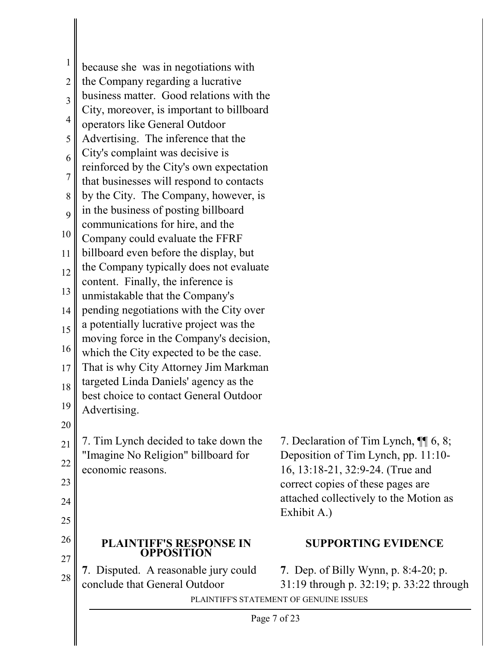| $\mathbf{1}$            | because she was in negotiations with                                                  |                                                                       |  |
|-------------------------|---------------------------------------------------------------------------------------|-----------------------------------------------------------------------|--|
| $\overline{2}$          | the Company regarding a lucrative                                                     |                                                                       |  |
| $\overline{\mathbf{3}}$ | business matter. Good relations with the<br>City, moreover, is important to billboard |                                                                       |  |
| $\overline{4}$          | operators like General Outdoor                                                        |                                                                       |  |
| 5                       | Advertising. The inference that the                                                   |                                                                       |  |
| 6                       | City's complaint was decisive is                                                      |                                                                       |  |
| $\overline{7}$          | reinforced by the City's own expectation                                              |                                                                       |  |
|                         | that businesses will respond to contacts                                              |                                                                       |  |
| 8                       | by the City. The Company, however, is<br>in the business of posting billboard         |                                                                       |  |
| 9                       | communications for hire, and the                                                      |                                                                       |  |
| 10                      | Company could evaluate the FFRF                                                       |                                                                       |  |
| 11                      | billboard even before the display, but                                                |                                                                       |  |
| 12                      | the Company typically does not evaluate                                               |                                                                       |  |
| 13                      | content. Finally, the inference is<br>unmistakable that the Company's                 |                                                                       |  |
| 14                      | pending negotiations with the City over                                               |                                                                       |  |
| 15                      | a potentially lucrative project was the                                               |                                                                       |  |
|                         | moving force in the Company's decision,                                               |                                                                       |  |
| 16                      | which the City expected to be the case.                                               |                                                                       |  |
| 17                      | That is why City Attorney Jim Markman                                                 |                                                                       |  |
| 18                      | targeted Linda Daniels' agency as the<br>best choice to contact General Outdoor       |                                                                       |  |
| 19                      | Advertising.                                                                          |                                                                       |  |
| 20                      |                                                                                       |                                                                       |  |
| 21                      | 7. Tim Lynch decided to take down the                                                 | 7. Declaration of Tim Lynch, ¶ 6, 8;                                  |  |
| 22                      | "Imagine No Religion" billboard for                                                   | Deposition of Tim Lynch, pp. 11:10-                                   |  |
| 23                      | economic reasons.                                                                     | 16, 13:18-21, 32:9-24. (True and<br>correct copies of these pages are |  |
|                         |                                                                                       | attached collectively to the Motion as                                |  |
| 24                      |                                                                                       | Exhibit A.)                                                           |  |
| 25                      |                                                                                       |                                                                       |  |
| 26<br>27                | PLAINTIFF'S RESPONSE IN<br><b>OPPOSITION</b>                                          | <b>SUPPORTING EVIDENCE</b>                                            |  |
| 28                      | 7. Disputed. A reasonable jury could                                                  | 7. Dep. of Billy Wynn, p. 8:4-20; p.                                  |  |
|                         | conclude that General Outdoor                                                         | 31:19 through p. 32:19; p. 33:22 through                              |  |
|                         |                                                                                       | PLAINTIFF'S STATEMENT OF GENUINE ISSUES                               |  |
|                         | Page 7 of 23                                                                          |                                                                       |  |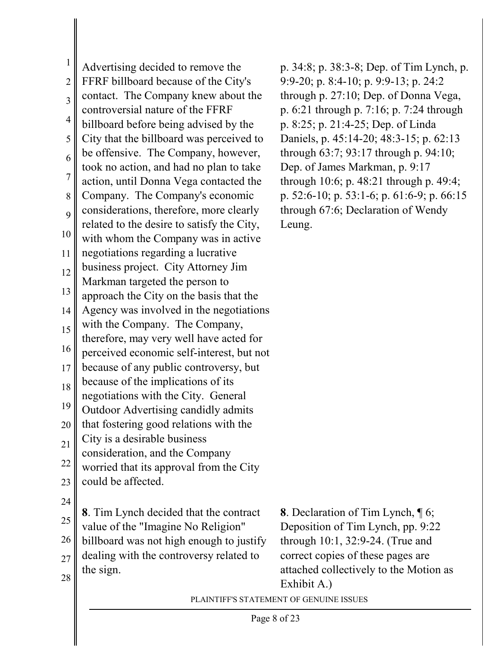1 2 3 4 5 6 7 8  $\overline{Q}$ 10 11 12 13 14 15 16 17 18 19 20 21 22 23 24 25 26 27 28 PLAINTIFF'S STATEMENT OF GENUINE ISSUES Advertising decided to remove the FFRF billboard because of the City's contact. The Company knew about the controversial nature of the FFRF billboard before being advised by the City that the billboard was perceived to be offensive. The Company, however, took no action, and had no plan to take action, until Donna Vega contacted the Company. The Company's economic considerations, therefore, more clearly related to the desire to satisfy the City, with whom the Company was in active negotiations regarding a lucrative business project. City Attorney Jim Markman targeted the person to approach the City on the basis that the Agency was involved in the negotiations with the Company. The Company, therefore, may very well have acted for perceived economic self-interest, but not because of any public controversy, but because of the implications of its negotiations with the City. General Outdoor Advertising candidly admits that fostering good relations with the City is a desirable business consideration, and the Company worried that its approval from the City could be affected. **8**. Tim Lynch decided that the contract value of the "Imagine No Religion" billboard was not high enough to justify dealing with the controversy related to the sign.

p. 34:8; p. 38:3-8; Dep. of Tim Lynch, p. 9:9-20; p. 8:4-10; p. 9:9-13; p. 24:2 through p. 27:10; Dep. of Donna Vega, p. 6:21 through p. 7:16; p. 7:24 through p. 8:25; p. 21:4-25; Dep. of Linda Daniels, p. 45:14-20; 48:3-15; p. 62:13 through 63:7; 93:17 through p. 94:10; Dep. of James Markman, p. 9:17 through 10:6; p. 48:21 through p. 49:4; p. 52:6-10; p. 53:1-6; p. 61:6-9; p. 66:15 through 67:6; Declaration of Wendy Leung.

**8**. Declaration of Tim Lynch, ¶ 6; Deposition of Tim Lynch, pp. 9:22 through 10:1, 32:9-24. (True and correct copies of these pages are attached collectively to the Motion as Exhibit A.)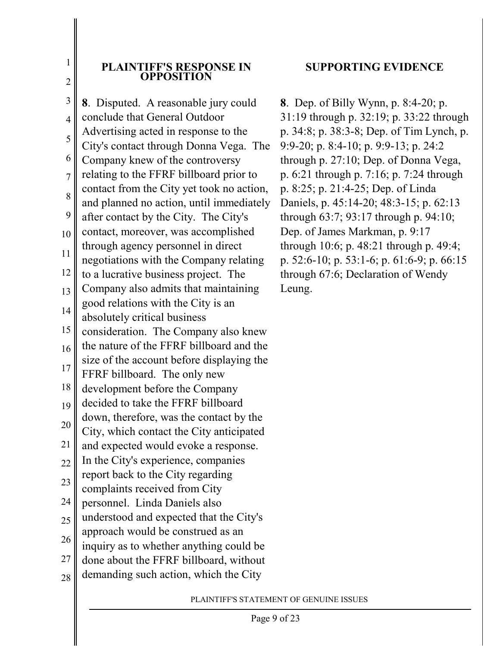1

#### **PLAINTIFF'S RESPONSE IN OPPOSITION**

3 4 5 6 7 8 9 10 11 12 13 14 15 16 17 18 19 20 21 22 23 24 25 26 27 28 **8**. Disputed. A reasonable jury could conclude that General Outdoor Advertising acted in response to the City's contact through Donna Vega. The Company knew of the controversy relating to the FFRF billboard prior to contact from the City yet took no action, and planned no action, until immediately after contact by the City. The City's contact, moreover, was accomplished through agency personnel in direct negotiations with the Company relating to a lucrative business project. The Company also admits that maintaining good relations with the City is an absolutely critical business consideration. The Company also knew the nature of the FFRF billboard and the size of the account before displaying the FFRF billboard. The only new development before the Company decided to take the FFRF billboard down, therefore, was the contact by the City, which contact the City anticipated and expected would evoke a response. In the City's experience, companies report back to the City regarding complaints received from City personnel. Linda Daniels also understood and expected that the City's approach would be construed as an inquiry as to whether anything could be done about the FFRF billboard, without demanding such action, which the City

### **SUPPORTING EVIDENCE**

**8**. Dep. of Billy Wynn, p. 8:4-20; p. 31:19 through p. 32:19; p. 33:22 through p. 34:8; p. 38:3-8; Dep. of Tim Lynch, p. 9:9-20; p. 8:4-10; p. 9:9-13; p. 24:2 through p. 27:10; Dep. of Donna Vega, p. 6:21 through p. 7:16; p. 7:24 through p. 8:25; p. 21:4-25; Dep. of Linda Daniels, p. 45:14-20; 48:3-15; p. 62:13 through 63:7; 93:17 through p. 94:10; Dep. of James Markman, p. 9:17 through 10:6; p. 48:21 through p. 49:4; p. 52:6-10; p. 53:1-6; p. 61:6-9; p. 66:15 through 67:6; Declaration of Wendy Leung.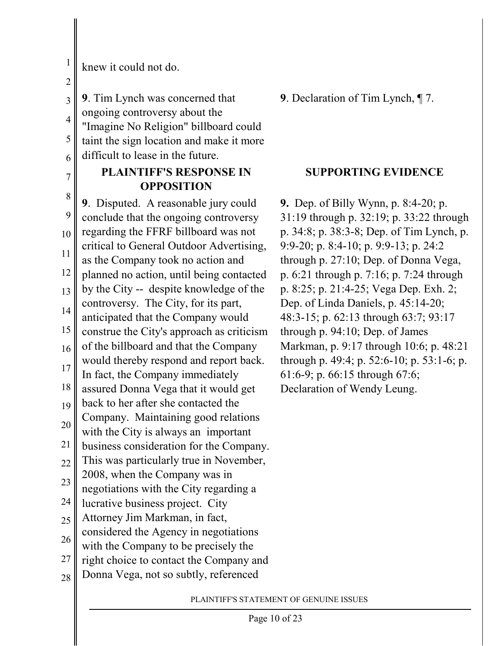1

knew it could not do.

3 4 5 6 **9**. Tim Lynch was concerned that ongoing controversy about the "Imagine No Religion" billboard could taint the sign location and make it more difficult to lease in the future.

# **PLAINTIFF'S RESPONSE IN OPPOSITION**

8 9 10 11 12 13 14 15 16 17 18 19 20 21 22 23 24 25 26 27 28 **9**. Disputed. A reasonable jury could conclude that the ongoing controversy regarding the FFRF billboard was not critical to General Outdoor Advertising, as the Company took no action and planned no action, until being contacted by the City -- despite knowledge of the controversy. The City, for its part, anticipated that the Company would construe the City's approach as criticism of the billboard and that the Company would thereby respond and report back. In fact, the Company immediately assured Donna Vega that it would get back to her after she contacted the Company. Maintaining good relations with the City is always an important business consideration for the Company. This was particularly true in November, 2008, when the Company was in negotiations with the City regarding a lucrative business project. City Attorney Jim Markman, in fact, considered the Agency in negotiations with the Company to be precisely the right choice to contact the Company and Donna Vega, not so subtly, referenced

**9**. Declaration of Tim Lynch, ¶ 7.

### **SUPPORTING EVIDENCE**

**9.** Dep. of Billy Wynn, p. 8:4-20; p. 31:19 through p. 32:19; p. 33:22 through p. 34:8; p. 38:3-8; Dep. of Tim Lynch, p. 9:9-20; p. 8:4-10; p. 9:9-13; p. 24:2 through p. 27:10; Dep. of Donna Vega, p. 6:21 through p. 7:16; p. 7:24 through p. 8:25; p. 21:4-25; Vega Dep. Exh. 2; Dep. of Linda Daniels, p. 45:14-20; 48:3-15; p. 62:13 through 63:7; 93:17 through p. 94:10; Dep. of James Markman, p. 9:17 through 10:6; p. 48:21 through p. 49:4; p. 52:6-10; p. 53:1-6; p. 61:6-9; p. 66:15 through 67:6; Declaration of Wendy Leung.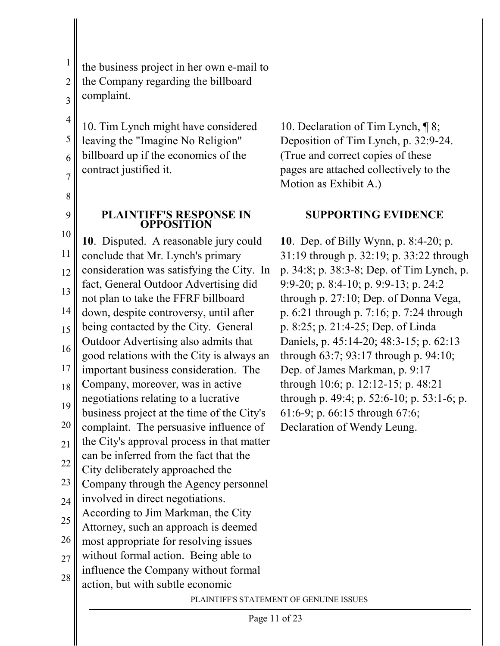1

the business project in her own e-mail to

the Company regarding the billboard

complaint.

10. Tim Lynch might have considered leaving the "Imagine No Religion" billboard up if the economics of the contract justified it.

8

9

### **PLAINTIFF'S RESPONSE IN OPPOSITION**

10 11 12 13 14 15 16 17 18 19 20 21 22 23 24 25 26 27 28 **10**. Disputed. A reasonable jury could conclude that Mr. Lynch's primary consideration was satisfying the City. In fact, General Outdoor Advertising did not plan to take the FFRF billboard down, despite controversy, until after being contacted by the City. General Outdoor Advertising also admits that good relations with the City is always an important business consideration. The Company, moreover, was in active negotiations relating to a lucrative business project at the time of the City's complaint. The persuasive influence of the City's approval process in that matter can be inferred from the fact that the City deliberately approached the Company through the Agency personnel involved in direct negotiations. According to Jim Markman, the City Attorney, such an approach is deemed most appropriate for resolving issues without formal action. Being able to influence the Company without formal action, but with subtle economic

10. Declaration of Tim Lynch, ¶ 8; Deposition of Tim Lynch, p. 32:9-24. (True and correct copies of these pages are attached collectively to the Motion as Exhibit A.)

# **SUPPORTING EVIDENCE**

**10**. Dep. of Billy Wynn, p. 8:4-20; p. 31:19 through p. 32:19; p. 33:22 through p. 34:8; p. 38:3-8; Dep. of Tim Lynch, p. 9:9-20; p. 8:4-10; p. 9:9-13; p. 24:2 through p. 27:10; Dep. of Donna Vega, p. 6:21 through p. 7:16; p. 7:24 through p. 8:25; p. 21:4-25; Dep. of Linda Daniels, p. 45:14-20; 48:3-15; p. 62:13 through 63:7; 93:17 through p. 94:10; Dep. of James Markman, p. 9:17 through 10:6; p. 12:12-15; p. 48:21 through p. 49:4; p. 52:6-10; p. 53:1-6; p. 61:6-9; p. 66:15 through 67:6; Declaration of Wendy Leung.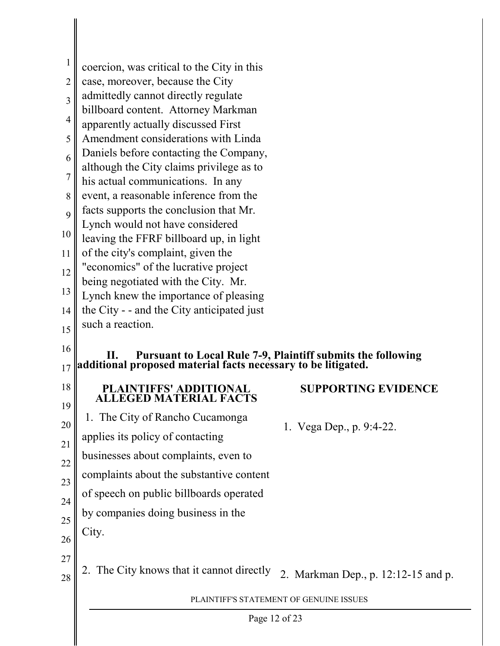| 1              | coercion, was critical to the City in this                                                                                       |                                         |  |
|----------------|----------------------------------------------------------------------------------------------------------------------------------|-----------------------------------------|--|
| $\overline{2}$ | case, moreover, because the City                                                                                                 |                                         |  |
|                | admittedly cannot directly regulate                                                                                              |                                         |  |
| 3              | billboard content. Attorney Markman                                                                                              |                                         |  |
| $\overline{4}$ | apparently actually discussed First                                                                                              |                                         |  |
| 5              | Amendment considerations with Linda                                                                                              |                                         |  |
| 6              | Daniels before contacting the Company,                                                                                           |                                         |  |
| 7              | although the City claims privilege as to                                                                                         |                                         |  |
| 8              | his actual communications. In any<br>event, a reasonable inference from the                                                      |                                         |  |
|                | facts supports the conclusion that Mr.                                                                                           |                                         |  |
| 9              | Lynch would not have considered                                                                                                  |                                         |  |
| 10             | leaving the FFRF billboard up, in light                                                                                          |                                         |  |
| 11             | of the city's complaint, given the                                                                                               |                                         |  |
| 12             | "economics" of the lucrative project                                                                                             |                                         |  |
| 13             | being negotiated with the City. Mr.<br>Lynch knew the importance of pleasing                                                     |                                         |  |
| 14             | the City - - and the City anticipated just                                                                                       |                                         |  |
| 15             | such a reaction.                                                                                                                 |                                         |  |
|                |                                                                                                                                  |                                         |  |
| 16             | II. Pursuant to Local Rule 7-9, Plaintiff submits the following<br>additional proposed material facts necessary to be litigated. |                                         |  |
| 17             |                                                                                                                                  |                                         |  |
| 18<br>19       | <b>PLAINTIFFS' ADDITIONAL</b><br><b>ALLEGED MATERIAL FACTS</b>                                                                   | <b>SUPPORTING EVIDENCE</b>              |  |
| 20             | 1. The City of Rancho Cucamonga                                                                                                  |                                         |  |
|                | applies its policy of contacting                                                                                                 | 1. Vega Dep., p. 9:4-22.                |  |
| 21             | businesses about complaints, even to                                                                                             |                                         |  |
| 22             | complaints about the substantive content                                                                                         |                                         |  |
| 23             |                                                                                                                                  |                                         |  |
| 24             | of speech on public billboards operated                                                                                          |                                         |  |
| 25             | by companies doing business in the                                                                                               |                                         |  |
| 26             | City.                                                                                                                            |                                         |  |
| 27             |                                                                                                                                  |                                         |  |
|                | 2. The City knows that it cannot directly                                                                                        | 2. Markman Dep., p. 12:12-15 and p.     |  |
| 28             |                                                                                                                                  |                                         |  |
|                |                                                                                                                                  | PLAINTIFF'S STATEMENT OF GENUINE ISSUES |  |
|                | Page 12 of 23                                                                                                                    |                                         |  |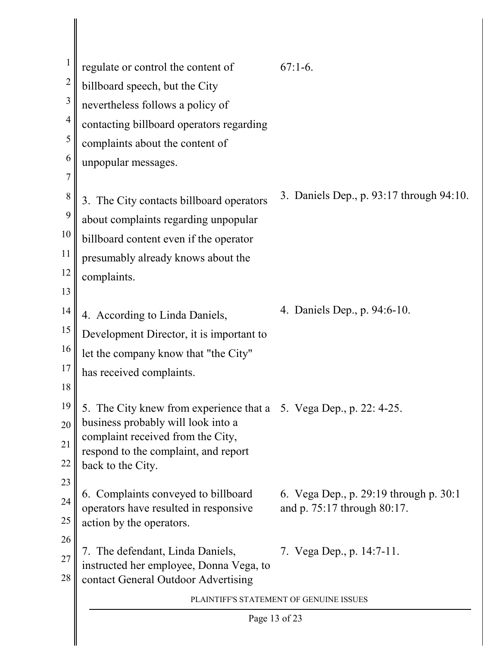|                | regulate or control the content of                                        | $67:1-6.$                                |  |
|----------------|---------------------------------------------------------------------------|------------------------------------------|--|
| $\overline{2}$ | billboard speech, but the City                                            |                                          |  |
| 3              | nevertheless follows a policy of                                          |                                          |  |
| $\overline{4}$ | contacting billboard operators regarding                                  |                                          |  |
| 5              | complaints about the content of                                           |                                          |  |
| 6              | unpopular messages.                                                       |                                          |  |
| 7              |                                                                           |                                          |  |
| 8              | 3. The City contacts billboard operators                                  | 3. Daniels Dep., p. 93:17 through 94:10. |  |
| 9              | about complaints regarding unpopular                                      |                                          |  |
| 10             | billboard content even if the operator                                    |                                          |  |
| 11             | presumably already knows about the                                        |                                          |  |
| 12             | complaints.                                                               |                                          |  |
| 13             |                                                                           |                                          |  |
| 14             | 4. According to Linda Daniels,                                            | 4. Daniels Dep., p. 94:6-10.             |  |
| 15             | Development Director, it is important to                                  |                                          |  |
| 16             | let the company know that "the City"                                      |                                          |  |
| 17             | has received complaints.                                                  |                                          |  |
| 18             |                                                                           |                                          |  |
| 19             | 5. The City knew from experience that a 5. Vega Dep., p. 22: 4-25.        |                                          |  |
| 20             | business probably will look into a                                        |                                          |  |
| 21             | complaint received from the City,<br>respond to the complaint, and report |                                          |  |
| 22             | back to the City.                                                         |                                          |  |
| 23             | 6. Complaints conveyed to billboard                                       | 6. Vega Dep., p. 29:19 through p. 30:1   |  |
| 24             | operators have resulted in responsive                                     | and p. 75:17 through 80:17.              |  |
| 25             | action by the operators.                                                  |                                          |  |
| 26             | 7. The defendant, Linda Daniels,                                          | 7. Vega Dep., p. 14:7-11.                |  |
| 27             | instructed her employee, Donna Vega, to                                   |                                          |  |
| 28             | contact General Outdoor Advertising                                       |                                          |  |
|                |                                                                           | PLAINTIFF'S STATEMENT OF GENUINE ISSUES  |  |
|                | Page 13 of 23                                                             |                                          |  |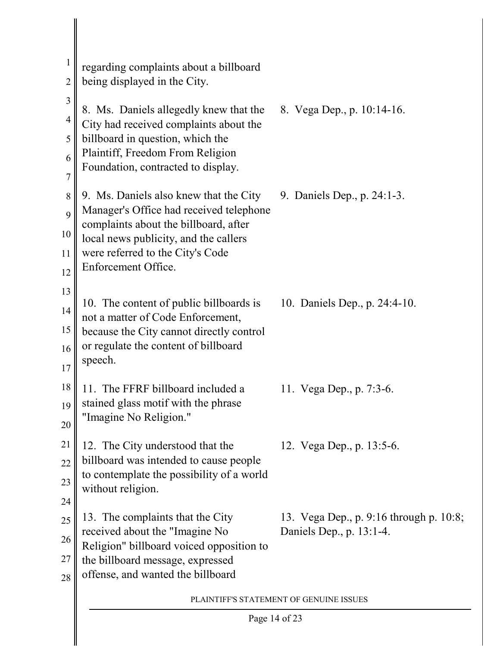| 2              | regarding complaints about a billboard<br>being displayed in the City.              |                                                                     |  |  |
|----------------|-------------------------------------------------------------------------------------|---------------------------------------------------------------------|--|--|
| $\mathfrak{Z}$ |                                                                                     |                                                                     |  |  |
| $\overline{4}$ | 8. Ms. Daniels allegedly knew that the<br>City had received complaints about the    | 8. Vega Dep., p. 10:14-16.                                          |  |  |
| 5              | billboard in question, which the                                                    |                                                                     |  |  |
| 6              | Plaintiff, Freedom From Religion<br>Foundation, contracted to display.              |                                                                     |  |  |
| $\overline{7}$ |                                                                                     |                                                                     |  |  |
| 8              | 9. Ms. Daniels also knew that the City<br>Manager's Office had received telephone   | 9. Daniels Dep., p. 24:1-3.                                         |  |  |
| 9              | complaints about the billboard, after                                               |                                                                     |  |  |
| 10             | local news publicity, and the callers                                               |                                                                     |  |  |
| 11             | were referred to the City's Code<br>Enforcement Office.                             |                                                                     |  |  |
| 12<br>13       |                                                                                     |                                                                     |  |  |
| 14             | 10. The content of public billboards is                                             | 10. Daniels Dep., p. 24:4-10.                                       |  |  |
| 15             | not a matter of Code Enforcement,<br>because the City cannot directly control       |                                                                     |  |  |
| 16             | or regulate the content of billboard                                                |                                                                     |  |  |
| 17             | speech.                                                                             |                                                                     |  |  |
| 18             | 11. The FFRF billboard included a                                                   | 11. Vega Dep., p. 7:3-6.                                            |  |  |
| 19             | stained glass motif with the phrase                                                 |                                                                     |  |  |
| 20             | "Imagine No Religion."                                                              |                                                                     |  |  |
| 21             | 12. The City understood that the                                                    | 12. Vega Dep., p. 13:5-6.                                           |  |  |
| 22             | billboard was intended to cause people<br>to contemplate the possibility of a world |                                                                     |  |  |
| 23             | without religion.                                                                   |                                                                     |  |  |
| 24             |                                                                                     |                                                                     |  |  |
| 25             | 13. The complaints that the City<br>received about the "Imagine No                  | 13. Vega Dep., p. 9:16 through p. 10:8;<br>Daniels Dep., p. 13:1-4. |  |  |
| 26             | Religion" billboard voiced opposition to                                            |                                                                     |  |  |
| 27<br>28       | the billboard message, expressed<br>offense, and wanted the billboard               |                                                                     |  |  |
|                |                                                                                     | PLAINTIFF'S STATEMENT OF GENUINE ISSUES                             |  |  |
|                | Page 14 of 23                                                                       |                                                                     |  |  |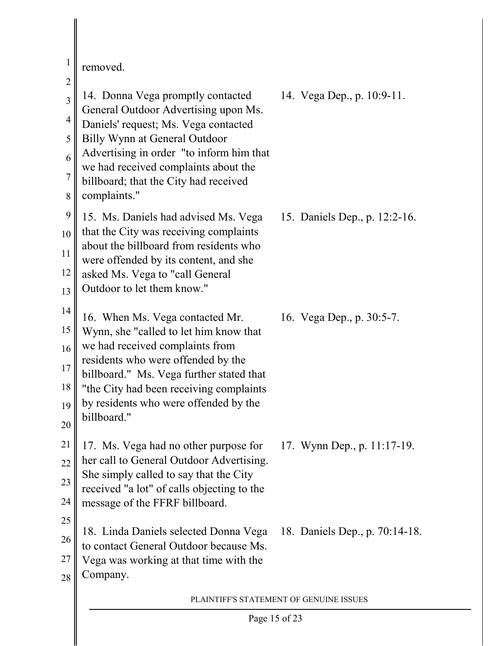| $\mathbf{1}$                                                                        | removed.                                                                                                                                                                                                                                                                                          |                                |
|-------------------------------------------------------------------------------------|---------------------------------------------------------------------------------------------------------------------------------------------------------------------------------------------------------------------------------------------------------------------------------------------------|--------------------------------|
| $\overline{2}$<br>$\overline{3}$<br>$\overline{4}$<br>5<br>6<br>$\overline{7}$<br>8 | 14. Donna Vega promptly contacted<br>General Outdoor Advertising upon Ms.<br>Daniels' request; Ms. Vega contacted<br>Billy Wynn at General Outdoor<br>Advertising in order "to inform him that<br>we had received complaints about the<br>billboard; that the City had received<br>complaints."   | 14. Vega Dep., p. 10:9-11.     |
| 9<br>10<br>11<br>12<br>13                                                           | 15. Ms. Daniels had advised Ms. Vega<br>that the City was receiving complaints<br>about the billboard from residents who<br>were offended by its content, and she<br>asked Ms. Vega to "call General<br>Outdoor to let them know."                                                                | 15. Daniels Dep., p. 12:2-16.  |
| 14<br>15<br>16<br>17<br>18<br>19<br>20                                              | 16. When Ms. Vega contacted Mr.<br>Wynn, she "called to let him know that<br>we had received complaints from<br>residents who were offended by the<br>billboard." Ms. Vega further stated that<br>"the City had been receiving complaints<br>by residents who were offended by the<br>billboard." | 16. Vega Dep., p. 30:5-7.      |
| 21<br>22<br>23<br>24                                                                | 17. Ms. Vega had no other purpose for<br>her call to General Outdoor Advertising.<br>She simply called to say that the City<br>received "a lot" of calls objecting to the<br>message of the FFRF billboard.                                                                                       | 17. Wynn Dep., p. 11:17-19.    |
| 25<br>26<br>27<br>28                                                                | 18. Linda Daniels selected Donna Vega<br>to contact General Outdoor because Ms.<br>Vega was working at that time with the<br>Company.                                                                                                                                                             | 18. Daniels Dep., p. 70:14-18. |
|                                                                                     | PLAINTIFF'S STATEMENT OF GENUINE ISSUES                                                                                                                                                                                                                                                           |                                |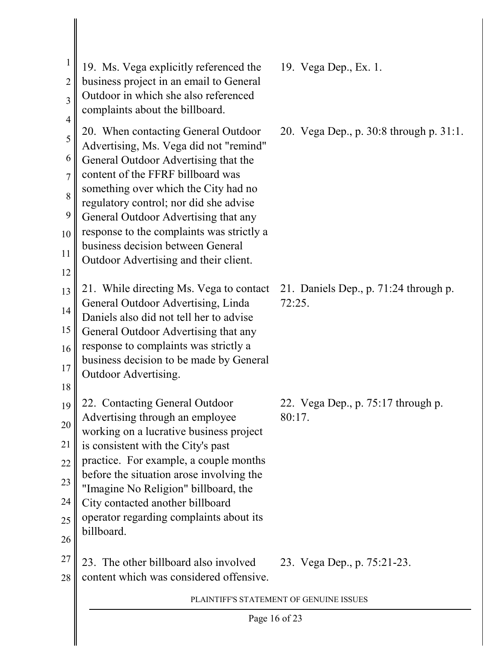| $\overline{4}$<br>20. When contacting General Outdoor<br>20. Vega Dep., p. 30:8 through p. 31:1.<br>5<br>Advertising, Ms. Vega did not "remind"<br>6<br>General Outdoor Advertising that the<br>content of the FFRF billboard was<br>$\overline{7}$<br>something over which the City had no<br>8<br>regulatory control; nor did she advise<br>9<br>General Outdoor Advertising that any<br>response to the complaints was strictly a<br>10<br>business decision between General<br>11<br>Outdoor Advertising and their client.<br>12<br>21. While directing Ms. Vega to contact<br>21. Daniels Dep., p. 71:24 through p.<br>13<br>General Outdoor Advertising, Linda<br>72:25.<br>14<br>Daniels also did not tell her to advise<br>15<br>General Outdoor Advertising that any<br>response to complaints was strictly a<br>16<br>business decision to be made by General<br>17<br>Outdoor Advertising.<br>18<br>22. Contacting General Outdoor<br>22. Vega Dep., p. 75:17 through p.<br>19<br>Advertising through an employee<br>80:17<br>20<br>working on a lucrative business project<br>21<br>is consistent with the City's past<br>practice. For example, a couple months<br>22<br>before the situation arose involving the<br>23<br>"Imagine No Religion" billboard, the<br>24<br>City contacted another billboard<br>operator regarding complaints about its<br>25<br>billboard.<br>26 |  |
|---------------------------------------------------------------------------------------------------------------------------------------------------------------------------------------------------------------------------------------------------------------------------------------------------------------------------------------------------------------------------------------------------------------------------------------------------------------------------------------------------------------------------------------------------------------------------------------------------------------------------------------------------------------------------------------------------------------------------------------------------------------------------------------------------------------------------------------------------------------------------------------------------------------------------------------------------------------------------------------------------------------------------------------------------------------------------------------------------------------------------------------------------------------------------------------------------------------------------------------------------------------------------------------------------------------------------------------------------------------------------------------------|--|
|                                                                                                                                                                                                                                                                                                                                                                                                                                                                                                                                                                                                                                                                                                                                                                                                                                                                                                                                                                                                                                                                                                                                                                                                                                                                                                                                                                                             |  |
|                                                                                                                                                                                                                                                                                                                                                                                                                                                                                                                                                                                                                                                                                                                                                                                                                                                                                                                                                                                                                                                                                                                                                                                                                                                                                                                                                                                             |  |
|                                                                                                                                                                                                                                                                                                                                                                                                                                                                                                                                                                                                                                                                                                                                                                                                                                                                                                                                                                                                                                                                                                                                                                                                                                                                                                                                                                                             |  |
| 27<br>23. The other billboard also involved<br>23. Vega Dep., p. 75:21-23.<br>content which was considered offensive.<br>28                                                                                                                                                                                                                                                                                                                                                                                                                                                                                                                                                                                                                                                                                                                                                                                                                                                                                                                                                                                                                                                                                                                                                                                                                                                                 |  |
| PLAINTIFF'S STATEMENT OF GENUINE ISSUES                                                                                                                                                                                                                                                                                                                                                                                                                                                                                                                                                                                                                                                                                                                                                                                                                                                                                                                                                                                                                                                                                                                                                                                                                                                                                                                                                     |  |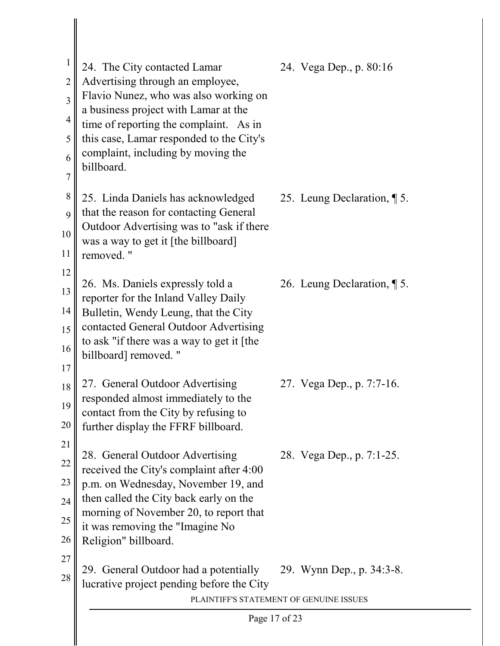| 1<br>$\overline{2}$<br>$\overline{3}$<br>$\overline{4}$<br>5<br>6<br>$\overline{7}$ | 24. The City contacted Lamar<br>Advertising through an employee,<br>Flavio Nunez, who was also working on<br>a business project with Lamar at the<br>time of reporting the complaint. As in<br>this case, Lamar responded to the City's<br>complaint, including by moving the<br>billboard. |  | 24. Vega Dep., p. 80:16    |
|-------------------------------------------------------------------------------------|---------------------------------------------------------------------------------------------------------------------------------------------------------------------------------------------------------------------------------------------------------------------------------------------|--|----------------------------|
| 8<br>9<br>10<br>11                                                                  | 25. Linda Daniels has acknowledged<br>that the reason for contacting General<br>Outdoor Advertising was to "ask if there<br>was a way to get it [the billboard]<br>removed."                                                                                                                |  | 25. Leung Declaration, 15. |
| 12<br>13<br>14<br>15<br>16<br>17                                                    | 26. Ms. Daniels expressly told a<br>reporter for the Inland Valley Daily<br>Bulletin, Wendy Leung, that the City<br>contacted General Outdoor Advertising<br>to ask "if there was a way to get it [the<br>billboard] removed. "                                                             |  | 26. Leung Declaration, 15. |
| 18<br>19<br>20                                                                      | 27. General Outdoor Advertising<br>responded almost immediately to the<br>contact from the City by refusing to<br>further display the FFRF billboard.                                                                                                                                       |  | 27. Vega Dep., p. 7:7-16.  |
| 21<br>22<br>23<br>24<br>25<br>26                                                    | 28. General Outdoor Advertising<br>received the City's complaint after 4:00<br>p.m. on Wednesday, November 19, and<br>then called the City back early on the<br>morning of November 20, to report that<br>it was removing the "Imagine No<br>Religion" billboard.                           |  | 28. Vega Dep., p. 7:1-25.  |
| 27<br>28                                                                            | 29. General Outdoor had a potentially<br>lucrative project pending before the City<br>PLAINTIFF'S STATEMENT OF GENUINE ISSUES                                                                                                                                                               |  | 29. Wynn Dep., p. 34:3-8.  |
|                                                                                     | Page 17 of 23                                                                                                                                                                                                                                                                               |  |                            |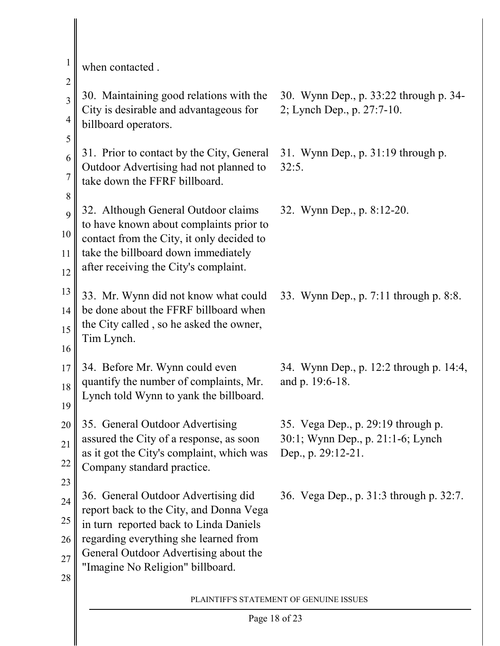|                | when contacted.                                                                     |                                                                         |  |
|----------------|-------------------------------------------------------------------------------------|-------------------------------------------------------------------------|--|
| $\overline{2}$ |                                                                                     |                                                                         |  |
| $\overline{3}$ | 30. Maintaining good relations with the<br>City is desirable and advantageous for   | 30. Wynn Dep., p. 33:22 through p. 34-<br>2; Lynch Dep., p. 27:7-10.    |  |
| 4              | billboard operators.                                                                |                                                                         |  |
| 5              |                                                                                     |                                                                         |  |
| 6              | 31. Prior to contact by the City, General<br>Outdoor Advertising had not planned to | 31. Wynn Dep., p. 31:19 through p.<br>32:5.                             |  |
| $\overline{7}$ | take down the FFRF billboard.                                                       |                                                                         |  |
| 8              |                                                                                     |                                                                         |  |
| 9              | 32. Although General Outdoor claims<br>to have known about complaints prior to      | 32. Wynn Dep., p. 8:12-20.                                              |  |
| 10             | contact from the City, it only decided to                                           |                                                                         |  |
| 11             | take the billboard down immediately<br>after receiving the City's complaint.        |                                                                         |  |
| 12             |                                                                                     |                                                                         |  |
| 13             | 33. Mr. Wynn did not know what could                                                | 33. Wynn Dep., p. 7:11 through p. 8:8.                                  |  |
| 14             | be done about the FFRF billboard when<br>the City called, so he asked the owner,    |                                                                         |  |
| 15             | Tim Lynch.                                                                          |                                                                         |  |
| 16             |                                                                                     |                                                                         |  |
| 17             | 34. Before Mr. Wynn could even<br>quantify the number of complaints, Mr.            | 34. Wynn Dep., p. 12:2 through p. 14:4,<br>and p. 19:6-18.              |  |
| 18             | Lynch told Wynn to yank the billboard.                                              |                                                                         |  |
| 19             |                                                                                     |                                                                         |  |
| 20             | 35. General Outdoor Advertising<br>assured the City of a response, as soon          | 35. Vega Dep., p. 29:19 through p.<br>30:1; Wynn Dep., p. 21:1-6; Lynch |  |
| 21             | as it got the City's complaint, which was                                           | Dep., p. 29:12-21.                                                      |  |
| 22             | Company standard practice.                                                          |                                                                         |  |
| 23<br>24       | 36. General Outdoor Advertising did                                                 | 36. Vega Dep., p. 31:3 through p. 32:7.                                 |  |
|                | report back to the City, and Donna Vega                                             |                                                                         |  |
| 25<br>26       | in turn reported back to Linda Daniels<br>regarding everything she learned from     |                                                                         |  |
| 27             | General Outdoor Advertising about the                                               |                                                                         |  |
| 28             | "Imagine No Religion" billboard.                                                    |                                                                         |  |
|                |                                                                                     |                                                                         |  |
|                | PLAINTIFF'S STATEMENT OF GENUINE ISSUES                                             |                                                                         |  |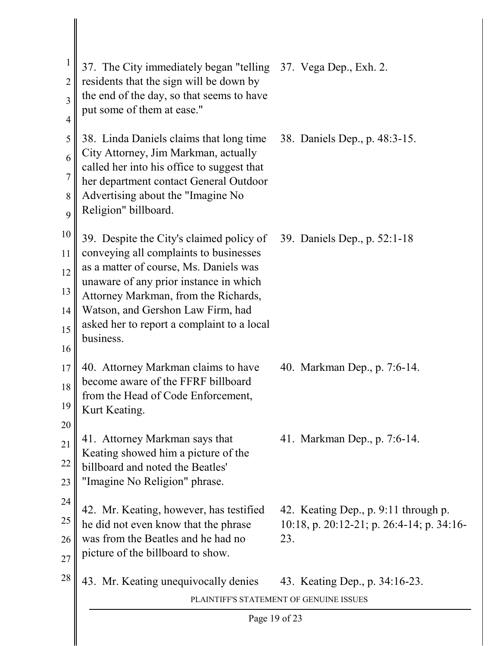| 1<br>2 | 37. The City immediately began "telling 37. Vega Dep., Exh. 2.<br>residents that the sign will be down by |                                           |  |
|--------|-----------------------------------------------------------------------------------------------------------|-------------------------------------------|--|
| 3      | the end of the day, so that seems to have<br>put some of them at ease."                                   |                                           |  |
| 4      |                                                                                                           |                                           |  |
| 5      | 38. Linda Daniels claims that long time                                                                   | 38. Daniels Dep., p. 48:3-15.             |  |
| 6      | City Attorney, Jim Markman, actually<br>called her into his office to suggest that                        |                                           |  |
| 7      | her department contact General Outdoor                                                                    |                                           |  |
| 8      | Advertising about the "Imagine No                                                                         |                                           |  |
| 9      | Religion" billboard.                                                                                      |                                           |  |
| 10     | 39. Despite the City's claimed policy of                                                                  | 39. Daniels Dep., p. 52:1-18              |  |
| 11     | conveying all complaints to businesses                                                                    |                                           |  |
| 12     | as a matter of course, Ms. Daniels was<br>unaware of any prior instance in which                          |                                           |  |
| 13     | Attorney Markman, from the Richards,                                                                      |                                           |  |
| 14     | Watson, and Gershon Law Firm, had                                                                         |                                           |  |
| 15     | asked her to report a complaint to a local<br>business.                                                   |                                           |  |
| 16     |                                                                                                           |                                           |  |
| 17     | 40. Attorney Markman claims to have<br>become aware of the FFRF billboard                                 | 40. Markman Dep., p. 7:6-14.              |  |
| 18     | from the Head of Code Enforcement,                                                                        |                                           |  |
| 19     | Kurt Keating.                                                                                             |                                           |  |
| 20     | 41. Attorney Markman says that                                                                            | 41. Markman Dep., p. 7:6-14.              |  |
| 21     | Keating showed him a picture of the                                                                       |                                           |  |
| 22     | billboard and noted the Beatles'                                                                          |                                           |  |
| 23     | "Imagine No Religion" phrase.                                                                             |                                           |  |
| 24     | 42. Mr. Keating, however, has testified                                                                   | 42. Keating Dep., p. 9:11 through p.      |  |
| 25     | he did not even know that the phrase                                                                      | 10:18, p. 20:12-21; p. 26:4-14; p. 34:16- |  |
| 26     | was from the Beatles and he had no<br>picture of the billboard to show.                                   | 23.                                       |  |
| 27     |                                                                                                           |                                           |  |
| 28     | 43. Mr. Keating unequivocally denies                                                                      | 43. Keating Dep., p. 34:16-23.            |  |
|        | PLAINTIFF'S STATEMENT OF GENUINE ISSUES                                                                   |                                           |  |
|        | Page 19 of 23                                                                                             |                                           |  |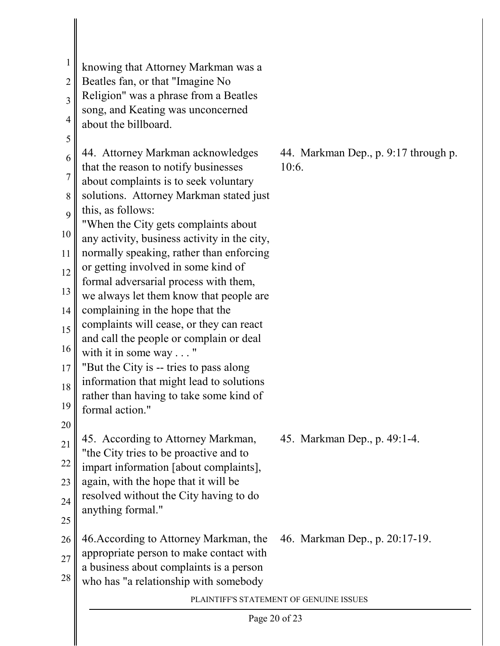| $\mathbf{1}$   |                                                                                 |                                         |
|----------------|---------------------------------------------------------------------------------|-----------------------------------------|
| $\overline{2}$ | knowing that Attorney Markman was a<br>Beatles fan, or that "Imagine No         |                                         |
| 3              | Religion" was a phrase from a Beatles                                           |                                         |
|                | song, and Keating was unconcerned                                               |                                         |
| $\overline{4}$ | about the billboard.                                                            |                                         |
| 5<br>6         | 44. Attorney Markman acknowledges                                               | 44. Markman Dep., p. 9:17 through p.    |
| 7              | that the reason to notify businesses<br>about complaints is to seek voluntary   | 10:6.                                   |
| 8              | solutions. Attorney Markman stated just                                         |                                         |
| 9              | this, as follows:                                                               |                                         |
|                | "When the City gets complaints about                                            |                                         |
| 10             | any activity, business activity in the city,                                    |                                         |
| 11             | normally speaking, rather than enforcing<br>or getting involved in some kind of |                                         |
| 12             | formal adversarial process with them,                                           |                                         |
| 13             | we always let them know that people are                                         |                                         |
| 14             | complaining in the hope that the                                                |                                         |
| 15             | complaints will cease, or they can react                                        |                                         |
| 16             | and call the people or complain or deal<br>with it in some way "                |                                         |
| 17             | "But the City is -- tries to pass along"                                        |                                         |
| 18             | information that might lead to solutions                                        |                                         |
| 19             | rather than having to take some kind of                                         |                                         |
|                | formal action."                                                                 |                                         |
| 20             | 45. According to Attorney Markman,                                              | 45. Markman Dep., p. 49:1-4.            |
| 21             | "the City tries to be proactive and to                                          |                                         |
| 22             | impart information [about complaints],                                          |                                         |
| 23             | again, with the hope that it will be                                            |                                         |
| 24             | resolved without the City having to do<br>anything formal."                     |                                         |
| 25             |                                                                                 |                                         |
| 26             | 46. According to Attorney Markman, the                                          | 46. Markman Dep., p. 20:17-19.          |
| 27             | appropriate person to make contact with                                         |                                         |
| 28             | a business about complaints is a person                                         |                                         |
|                | who has "a relationship with somebody                                           |                                         |
|                |                                                                                 | PLAINTIFF'S STATEMENT OF GENUINE ISSUES |
|                | Page 20 of 23                                                                   |                                         |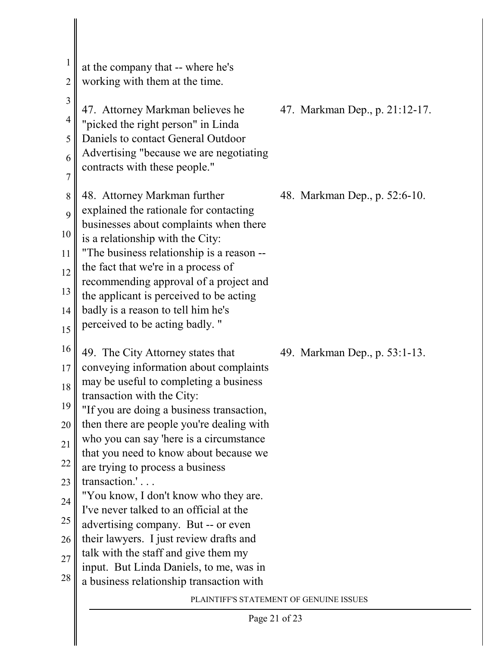| $\mathbf{1}$<br>$\overline{2}$ | at the company that -- where he's<br>working with them at the time.                  |                                |
|--------------------------------|--------------------------------------------------------------------------------------|--------------------------------|
| $\overline{3}$                 | 47. Attorney Markman believes he                                                     | 47. Markman Dep., p. 21:12-17. |
| $\overline{4}$                 | "picked the right person" in Linda                                                   |                                |
| 5                              | Daniels to contact General Outdoor<br>Advertising "because we are negotiating        |                                |
| 6<br>$\overline{7}$            | contracts with these people."                                                        |                                |
| 8                              | 48. Attorney Markman further                                                         | 48. Markman Dep., p. 52:6-10.  |
| 9                              | explained the rationale for contacting                                               |                                |
| 10                             | businesses about complaints when there                                               |                                |
| 11                             | is a relationship with the City:<br>"The business relationship is a reason --        |                                |
| 12                             | the fact that we're in a process of                                                  |                                |
| 13                             | recommending approval of a project and<br>the applicant is perceived to be acting    |                                |
| 14                             | badly is a reason to tell him he's                                                   |                                |
| 15                             | perceived to be acting badly. "                                                      |                                |
| 16                             | 49. The City Attorney states that                                                    | 49. Markman Dep., p. 53:1-13.  |
| 17                             | conveying information about complaints                                               |                                |
| 18                             | may be useful to completing a business<br>transaction with the City:                 |                                |
| 19                             | "If you are doing a business transaction,                                            |                                |
| 20                             | then there are people you're dealing with<br>who you can say 'here is a circumstance |                                |
| 21                             | that you need to know about because we                                               |                                |
| 22                             | are trying to process a business                                                     |                                |
| 23                             | transaction.'<br>"You know, I don't know who they are.                               |                                |
| 24                             | I've never talked to an official at the                                              |                                |
| 25                             | advertising company. But -- or even                                                  |                                |
| 26<br>27                       | their lawyers. I just review drafts and<br>talk with the staff and give them my      |                                |
| 28                             | input. But Linda Daniels, to me, was in                                              |                                |
|                                | a business relationship transaction with                                             |                                |
|                                | PLAINTIFF'S STATEMENT OF GENUINE ISSUES                                              |                                |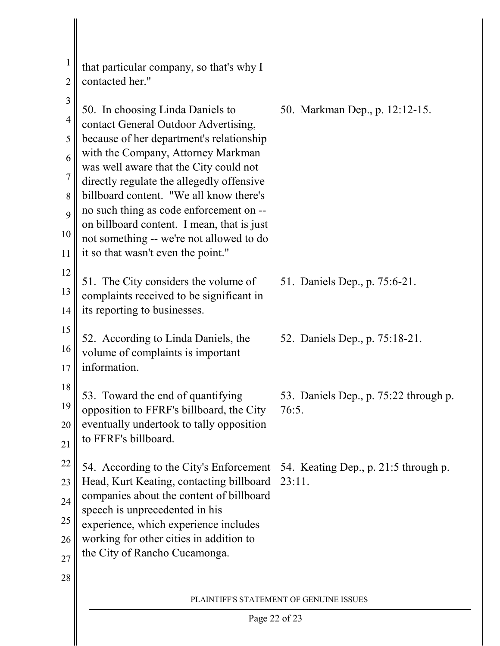| $\mathbf{1}$<br>$\overline{2}$ | that particular company, so that's why I<br>contacted her."                                                                                                                                                                                                                                                                 |                                                |
|--------------------------------|-----------------------------------------------------------------------------------------------------------------------------------------------------------------------------------------------------------------------------------------------------------------------------------------------------------------------------|------------------------------------------------|
| $\mathfrak{Z}$<br>4<br>5       | 50. In choosing Linda Daniels to<br>contact General Outdoor Advertising,<br>because of her department's relationship                                                                                                                                                                                                        | 50. Markman Dep., p. 12:12-15.                 |
| 6<br>7                         | with the Company, Attorney Markman<br>was well aware that the City could not<br>directly regulate the allegedly offensive                                                                                                                                                                                                   |                                                |
| 8<br>9                         | billboard content. "We all know there's<br>no such thing as code enforcement on --<br>on billboard content. I mean, that is just                                                                                                                                                                                            |                                                |
| 10<br>11                       | not something -- we're not allowed to do<br>it so that wasn't even the point."                                                                                                                                                                                                                                              |                                                |
| 12<br>13<br>14                 | 51. The City considers the volume of<br>complaints received to be significant in<br>its reporting to businesses.                                                                                                                                                                                                            | 51. Daniels Dep., p. 75:6-21.                  |
| 15<br>16<br>17                 | 52. According to Linda Daniels, the<br>volume of complaints is important<br>information.                                                                                                                                                                                                                                    | 52. Daniels Dep., p. 75:18-21.                 |
| 18<br>19<br>20<br>21           | 53. Toward the end of quantifying<br>opposition to FFRF's billboard, the City<br>eventually undertook to tally opposition<br>to FFRF's billboard.                                                                                                                                                                           | 53. Daniels Dep., p. 75:22 through p.<br>76:5. |
| 22<br>23<br>24<br>25<br>26     | 54. According to the City's Enforcement 54. Keating Dep., p. 21:5 through p.<br>Head, Kurt Keating, contacting billboard<br>companies about the content of billboard<br>speech is unprecedented in his<br>experience, which experience includes<br>working for other cities in addition to<br>the City of Rancho Cucamonga. | 23:11.                                         |
| 27<br>28                       |                                                                                                                                                                                                                                                                                                                             | PLAINTIFF'S STATEMENT OF GENUINE ISSUES        |